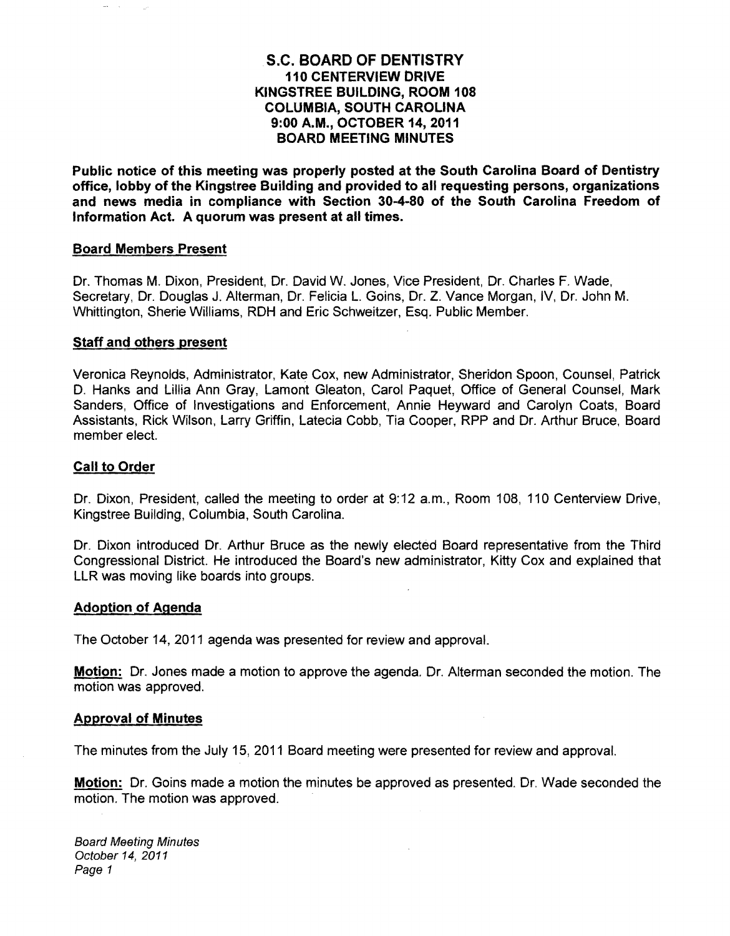### **S.C. BOARD OF DENTISTRY 110 CENTERVIEW DRIVE KINGSTREE BUILDING, ROOM 108 COLUMBIA, SOUTH CAROLINA 9:00 A.M., OCTOBER 14, 2011 BOARD MEETING MINUTES**

**Public notice of this meeting was properly posted at the South Carolina Board of Dentistry office, lobby of the Kingstree Building and provided to all requesting persons, organizations and news media in compliance with Section 30-4-80 of the South Carolina Freedom of Information Act. A quorum was present at all times.** 

#### **Board Members Present**

Dr. Thomas M. Dixon, President, Dr. David W. Jones, Vice President, Dr. Charles F. Wade, Secretary, Dr. Douglas J. Alterman, Dr. Felicia L. Goins, Dr. Z. Vance Morgan, IV, Dr. John M. Whittington, Sherie Williams, RDH and Eric Schweitzer, Esq. Public Member.

#### **Staff and others present**

Veronica Reynolds, Administrator, Kate Cox, new Administrator, Sheridon Spoon, Counsel, Patrick D. Hanks and Lillia Ann Gray, Lamont Gleaton, Carol Paquet, Office of General Counsel, Mark Sanders, Office of Investigations and Enforcement, Annie Heyward and Carolyn Coats, Board Assistants, Rick Wilson, Larry Griffin, Latecia Cobb, Tia Cooper, RPP and Dr. Arthur Bruce, Board member elect.

### **Call to Order**

Dr. Dixon, President, called the meeting to order at 9:12 a.m., Room 108, 110 Centerview Drive, Kingstree Building, Columbia, South Carolina.

Dr. Dixon introduced Dr. Arthur Bruce as the newly elected Board representative from the Third Congressional District. He introduced the Board's new administrator, Kitty Cox and explained that LLR was moving like boards into groups.

#### **Adoption of Agenda**

The October 14,2011 agenda was presented for review and approval.

**Motion:** Dr. Jones made a motion to approve the agenda. Dr. Alterman seconded the motion. The motion was approved.

#### **Approval of Minutes**

The minutes from the July 15, 2011 Board meeting were presented for review and approval.

**Motion:** Dr. Goins made a motion the minutes be approved as presented. Dr. Wade seconded the motion. The motion was approved.

Board Meeting Minutes October 14, 2011 Page 1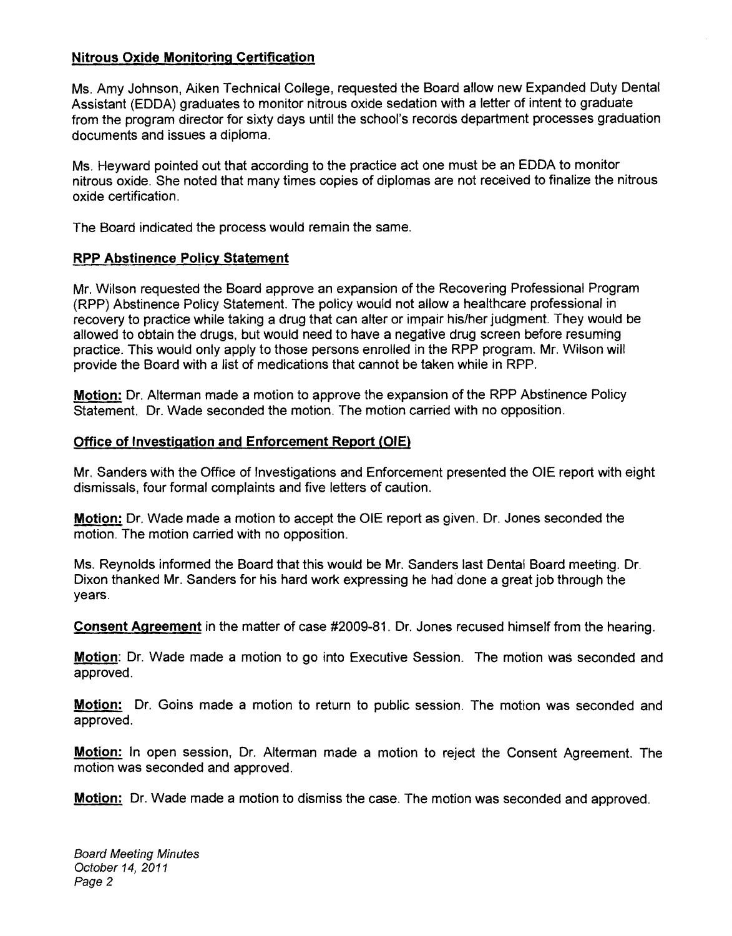## **Nitrous Oxide Monitoring Certification**

Ms. Amy Johnson, Aiken Technical College, requested the Board allow new Expanded Duty Dental Assistant (EDDA) graduates to monitor nitrous oxide sedation with a letter of intent to graduate from the program director for sixty days until the school's records department processes graduation documents and issues a diploma.

Ms. Heyward pointed out that according to the practice act one must be an EDDA to monitor nitrous oxide. She noted that many times copies of diplomas are not received to finalize the nitrous oxide certification. .

The Board indicated the process would remain the same.

# **RPP Abstinence Policy Statement**

Mr. Wilson requested the Board approve an expansion of the Recovering Professional Program (RPP) Abstinence Policy Statement. The policy would not allow a healthcare professional in recovery to practice while taking a drug that can alter or impair his/her judgment. They would be allowed to obtain the drugs, but would need to have a negative drug screen before resuming practice. This would only apply to those persons enrolled in the RPP program. Mr. Wilson will provide the Board with a list of medications that cannot be taken while in RPP.

**Motion:** Dr. Alterman made a motion to approve the expansion of the RPP Abstinence Policy Statement. Dr. Wade seconded the motion. The motion carried with no opposition.

# **Office of Investigation and Enforcement Report (OlE)**

Mr. Sanders with the Office of Investigations and Enforcement presented the OlE report with eight dismissals, four formal complaints and five letters of caution.

**Motion:** Dr. Wade made a motion to accept the OlE report as given. Dr. Jones seconded the motion. The motion carried with no opposition.

Ms. Reynolds informed the Board that this would be Mr. Sanders last Dental Board meeting. Dr. Dixon thanked Mr. Sanders for his hard work expressing he had· done a great job through the years.

**Consent Agreement** in the matter of case #2009-81. Dr. Jones recused himself from the hearing.

**Motion:** Dr. Wade made a motion to go into Executive Session. The motion was seconded and approved.

**Motion:** Dr. Goins made a motion to return to public session. The motion was seconded and approved.

**Motion:** In open session, Dr. Alterman made a motion to reject the Consent Agreement. The motion was seconded and approved.

**Motion:** Dr. Wade made a motion to dismiss the case. The motion was seconded and approved.

Board Meeting Minutes October 14,2011 Page 2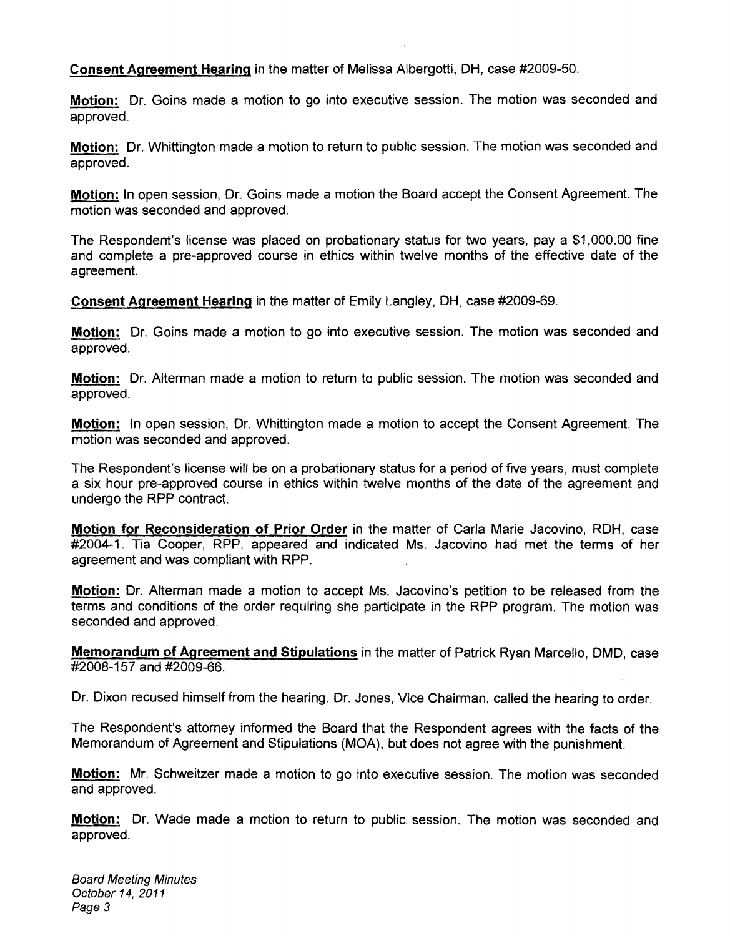**Consent Agreement Hearing** in the matter of Melissa Albergotti, DH, case #2009-50.

**Motion:** Dr. Goins made a motion to go into executive session. The motion was seconded and approved.

**Motion:** Dr. Whittington made a motion to return to public session. The motion was seconded and approved.

**Motion:** In open session, Dr. Goins made a motion the Board accept the Consent Agreement. The motion was seconded and approved.

The Respondent's license was placed on probationary status for two years, pay a \$1,000.00 fine and complete a pre-approved course in ethics within twelve months of the effective date of the agreement.

**Consent Agreement Hearing** in the matter of Emily Langley, DH, case #2009-69.

**Motion:** Dr. Goins made a motion to go into executive session. The motion was seconded and approved.

**Motion:** Dr. Alterman made a motion to return to public session. The motion was seconded and approved.

**Motion:** In open session, Dr. Whittington made a motion to accept the Consent Agreement. The motion was seconded and approved.

The Respondent's license will be on a probationary status for a period of five years, must complete a six hour pre-approved course in ethics within twelve months of the date of the agreement and undergo the RPP contract.

**Motion for Reconsideration of Prior Order** in the matter of Carla Marie Jacovino, RDH, case #2004-1. Tia Cooper, RPP, appeared and indicated Ms. Jacovino had met the terms of her agreement and was compliant with RPP.

**Motion:** Dr. Alterman made a motion to accept Ms. Jacovino's petition to be released from the terms and conditions of the order requiring she participate in the RPP program. The motion was seconded and approved.

**Memorandum of Agreement and Stipulations** in the matter of Patrick Ryan Marcello, DMD, case #2008-157 and #2009-66.

Dr. Dixon recused himself from the hearing. Dr. Jones, Vice Chairman, called the hearing to order.

The Respondent's attorney informed the Board that the Respondent agrees with the facts of the Memorandum of Agreement and Stipulations (MOA), but does not agree with the punishment.

**Motion:** Mr. Schweitzer made a motion to go into executive session. The motion was seconded and approved.

**Motion:** Dr. Wade made a motion to return to public session. The motion was seconded and approved.

Board Meeting Minutes October 14,2011 Page 3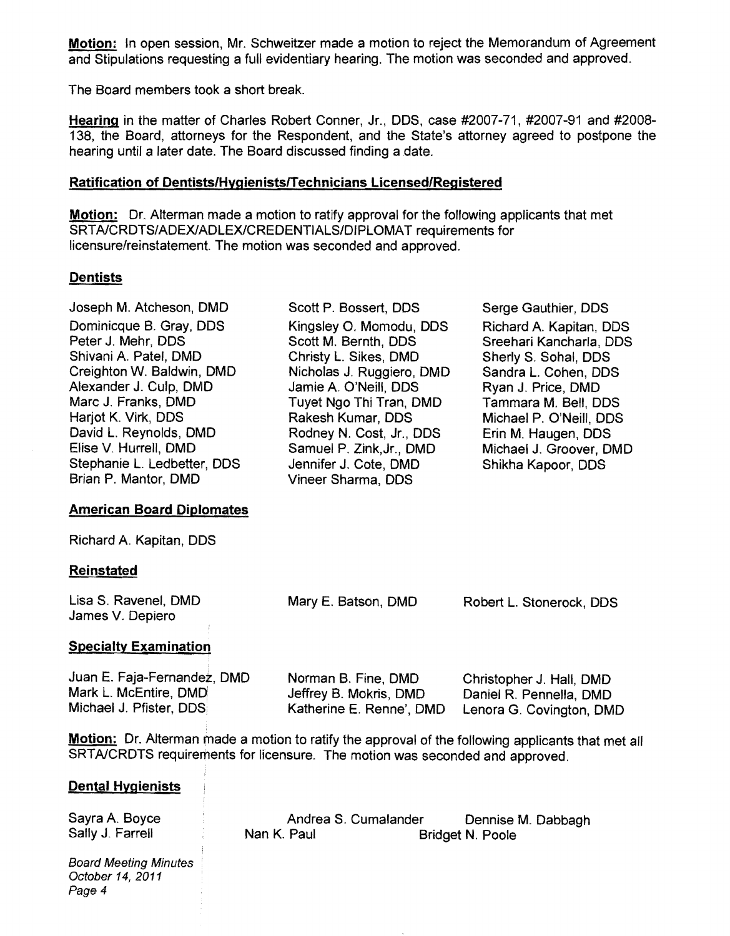**Motion:** In open session, Mr. Schweitzer made a motion to reject the Memorandum of Agreement and Stipulations requesting a full evidentiary hearing. The motion was seconded and approved.

The Board members took a short break.

**Hearing** in the matter of Charles Robert Conner, Jr., DDS, case #2007-71, #2007-91 and #2008 138, the Board, attorneys for the Respondent, and the State's attorney agreed to postpone the hearing until a later date. The Board discussed finding a date.

#### **Ratification of Dentists/HygienistslTechnicians licensed/Registered**

**Motion:** Dr. Alterman made a motion to ratify approval for the following applicants that met SRTA/CRDTS/ADEX/ADLEX/CREDENTIALS/DIPLOMAT requirements for licensure/reinstatement. The motion was seconded and approved.

### **Dentists**

Joseph M. Atcheson, DMD Scott P. Bossert, DDS Serge Gauthier, DDS Dominicque B. Gray, DDS Kingsley O. Momodu, DDS Richard A. Kapitan, DDS<br>Peter J. Mehr, DDS Scott M. Bernth, DDS Sreehari Kancharla, DDS Peter J. Mehr, DDS Scott M. Bernth, DDS Sreehari Kancharla, DDS<br>Shivani A. Patel, DMD Shristy L. Sikes. DMD Sherly S. Sohal. DDS Shivani A. Patel, DMD Christy L. Sikes, DMD Sherly S. Sohal, DDS<br>Creighton W. Baldwin, DMD Nicholas J. Ruggiero, DMD Sandra L. Cohen, DDS Creighton W. Baldwin, DMD Nicholas J. Ruggiero, DMD Sandra L. Cohen, DDS Alexander J. Culp, DMD Jamie A. O'Neill, DDS Ryan J. Price, DMD<br>Marc J. Franks. DMD Tuvet Ngo Thi Tran. DMD Tammara M. Bell. D Harjot K. Virk, DDS Rakesh Kumar, DDS Michael P. O'Neill, DDS David L. Reynolds, DMD Rodney N. Cost, Jr., DDS Erin M. Haugen, DDS Stephanie L. Ledbetter, DDS Jennifer J. Cote, DMD Shikha Kapoor, DDS<br>Brian P. Mantor, DMD Vineer Sharma, DDS

### **American Board Diplomates**

Richard A. Kapitan, DDS

### **Reinstated**

| Lisa S. Ravenel, DMD     | Mary E. Batson, DMD | Robert L. Stonerock, DDS |
|--------------------------|---------------------|--------------------------|
| James V. Depiero         |                     |                          |
| $\overline{\phantom{a}}$ |                     |                          |

Vineer Sharma, DDS

### **Specialty Examination**

| Juan E. Faja-Fernandez, DMD | Norman B. Fine, DMD      | Christopher J. Hall, DMD |
|-----------------------------|--------------------------|--------------------------|
| Mark L. McEntire, DMD       | Jeffrey B. Mokris, DMD   | Daniel R. Pennella, DMD  |
| Michael J. Pfister, DDS     | Katherine E. Renne', DMD | Lenora G. Covington, DMD |

**Motion:** Dr. Alterman made a motion to ratify the approval of the following applicants that met all SRTAlCRDTS requirements for licensure. The motion was seconded and approved.

### **Dental Hygienists**

Sayra A. Boyce Sally J. Farrell

Andrea S. Cumalander Nan K. Paul Dennise M. Dabbagh Bridget N. Poole

Tuyet Ngo Thi Tran, DMD Tammara M. Bell, DDS

Samuel P. Zink, Jr., DMD Michael J. Groover, DMD

Board Meeting Minutes October 14,2011 Page 4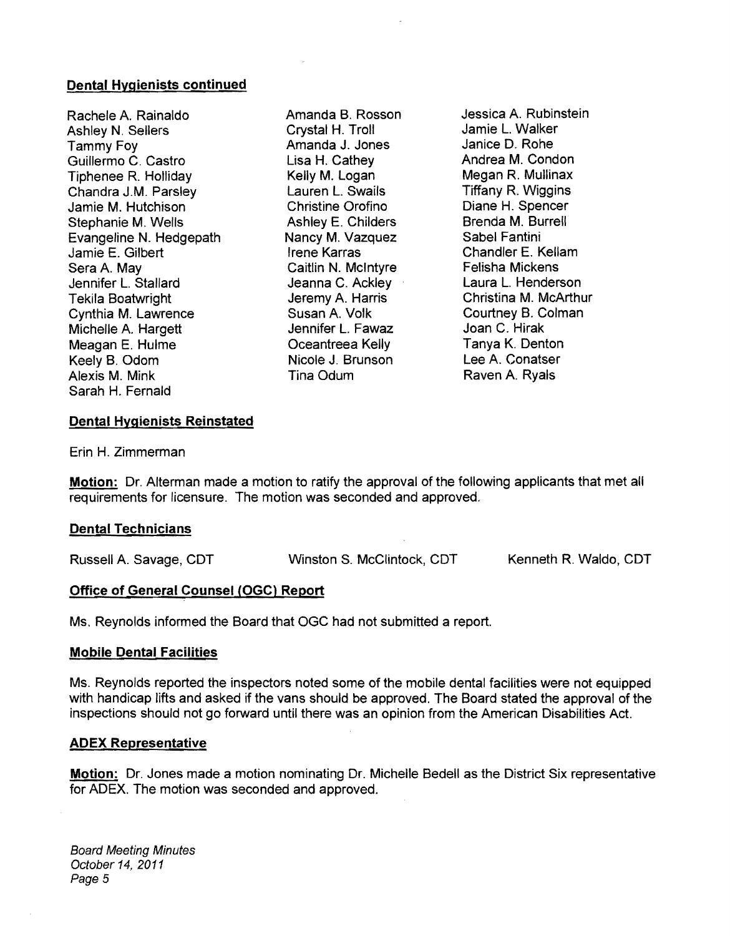#### **Dental Hygienists continued**

Rachele A. Rainaldo Amanda B. Rosson Jessica A. Rubinstein <br>Ashlev N. Sellers Crystal H. Troll Jamie L. Walker Ashley N. Sellers Crystal H. Troll Jamie l. Walker Tammy Foy Amanda J. Jones Janice D. Rohe Guillermo C. Castro Lisa H. Cathey Andrea M. Condon Tiphenee R. Holliday Kelly M. Logan Megan R. Mullinax Chandra J.M. Parsley Lauren l. Swails Tiffany R. Wiggins Jamie M. Hutchison Christine Orofino Diane H. Spencer Stephanie M. Wells Ashley E. Childers Brenda M. Burrell Evangeline N. Hedgepath Nancy M. Vazquez Sabel Fantini Jamie E. Gilbert Irene Karras Chandler E. Kellam<br>Sera A. May Caitlin N. McIntyre Felisha Mickens Sera A. May Caitlin N. Mcintyre Felisha Mickens Jennifer L. Stallard Jeanna C. Ackley<br>Tekila Boatwright Jeremy A. Harris Cynthia M. Lawrence Susan A. Volk Courtney B. Colman Joan C. Hirak Joan C. Hirak Michelle A. Hargett Jennifer l. F awaz Joan C. Hirak Meagan E. Hulme Oceantreea Kelly Tanya K. Denton Keely B. Odom Nicole J. Brunson Alexis M. Mink Tina Odum Raven A. Ryals Sarah H. Fernald

Tekila Boatwright Jeremy A. Harris Christina M. McArthur

#### **Dental Hygienists Reinstated**

Erin H. Zimmerman

**Motion:** Dr. Alterman made a motion to ratify the approval of the following applicants that met all requirements for licensure. The motion was seconded and approved.

### **Dental Technicians**

Russell A. Savage, CDT Winston S. McClintock, CDT Kenneth R. Waldo, CDT

#### **Office of General Counsel (OGC) Report**

Ms. Reynolds informed the Board that OGC had not submitted a report.

#### **Mobile Dental Facilities**

Ms. Reynolds reported the inspectors noted some of the mobile dental facilities were not equipped with handicap lifts and asked if the vans should be approved. The Board stated the approval of the inspections should not go forward until there was an opinion from the American Disabilities Act.

#### AD EX **Representative**

**Motion:** Dr. Jones made a motion nominating Dr. Michelle Bedell as the District Six representative for ADEX. The motion was seconded and approved.

Board Meeting Minutes October 14, 2011 Page 5